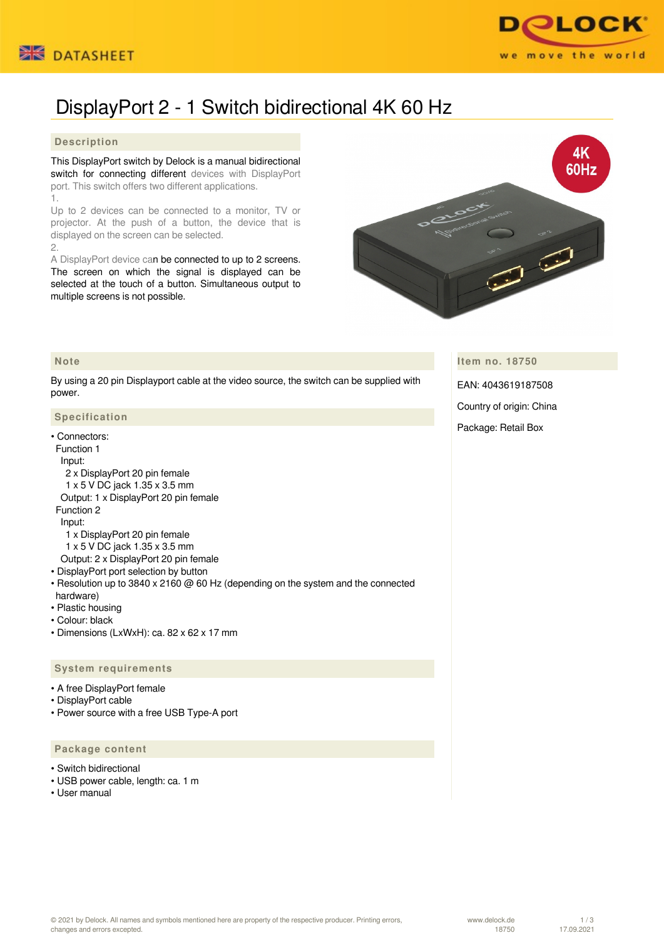



# DisplayPort 2 - 1 Switch bidirectional 4K 60 Hz

## **Description**

This DisplayPort switch by Delock is a manual bidirectional switch for connecting different devices with DisplayPort port. This switch offers two different applications. 1.

Up to 2 devices can be connected to a monitor, TV or projector. At the push of a button, the device that is displayed on the screen can be selected.

2.

 **Note**

A DisplayPort device can be connected to up to 2 screens. The screen on which the signal is displayed can be selected at the touch of a button. Simultaneous output to multiple screens is not possible.



## **Item no. 18750**

By using a 20 pin Displayport cable at the video source, the switch can be supplied with power.

#### **Specification**

• Connectors: Function 1 Input: 2 x DisplayPort 20 pin female 1 x 5 V DC jack 1.35 x 3.5 mm Output: 1 x DisplayPort 20 pin female Function 2 Input: 1 x DisplayPort 20 pin female 1 x 5 V DC jack 1.35 x 3.5 mm Output: 2 x DisplayPort 20 pin female

- DisplayPort port selection by button
- Resolution up to 3840 x 2160 @ 60 Hz (depending on the system and the connected hardware)
- Plastic housing
- Colour: black
- Dimensions (LxWxH): ca. 82 x 62 x 17 mm

## **System requirements**

- A free DisplayPort female
- DisplayPort cable
- Power source with a free USB Type-A port

### **Package content**

- Switch bidirectional
- USB power cable, length: ca. 1 m
- User manual

EAN: 4043619187508

Country of origin: China

Package: Retail Box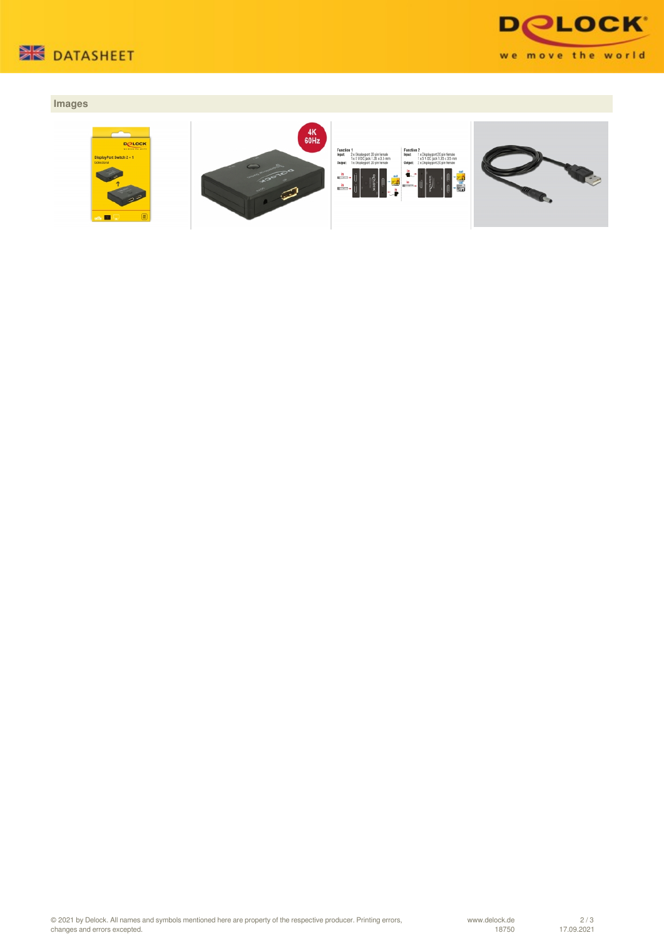



## **Images**